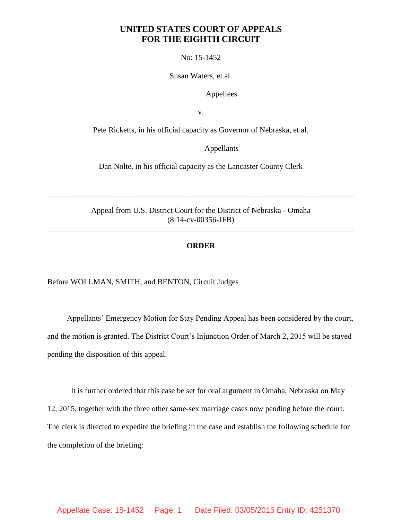## **UNITED STATES COURT OF APPEALS FOR THE EIGHTH CIRCUIT**

No: 15-1452

Susan Waters, et al.

Appellees

v.

Pete Ricketts, in his official capacity as Governor of Nebraska, et al.

Appellants

Dan Nolte, in his official capacity as the Lancaster County Clerk

Appeal from U.S. District Court for the District of Nebraska - Omaha (8:14-cv-00356-JFB)

\_\_\_\_\_\_\_\_\_\_\_\_\_\_\_\_\_\_\_\_\_\_\_\_\_\_\_\_\_\_\_\_\_\_\_\_\_\_\_\_\_\_\_\_\_\_\_\_\_\_\_\_\_\_\_\_\_\_\_\_\_\_\_\_\_\_\_\_\_\_\_\_\_\_\_\_\_\_

\_\_\_\_\_\_\_\_\_\_\_\_\_\_\_\_\_\_\_\_\_\_\_\_\_\_\_\_\_\_\_\_\_\_\_\_\_\_\_\_\_\_\_\_\_\_\_\_\_\_\_\_\_\_\_\_\_\_\_\_\_\_\_\_\_\_\_\_\_\_\_\_\_\_\_\_\_\_

## **ORDER**

Before WOLLMAN, SMITH, and BENTON, Circuit Judges

 Appellants' Emergency Motion for Stay Pending Appeal has been considered by the court, and the motion is granted. The District Court's Injunction Order of March 2, 2015 will be stayed pending the disposition of this appeal.

It is further ordered that this case be set for oral argument in Omaha, Nebraska on May 12, 2015, together with the three other same-sex marriage cases now pending before the court. The clerk is directed to expedite the briefing in the case and establish the following schedule for the completion of the briefing: